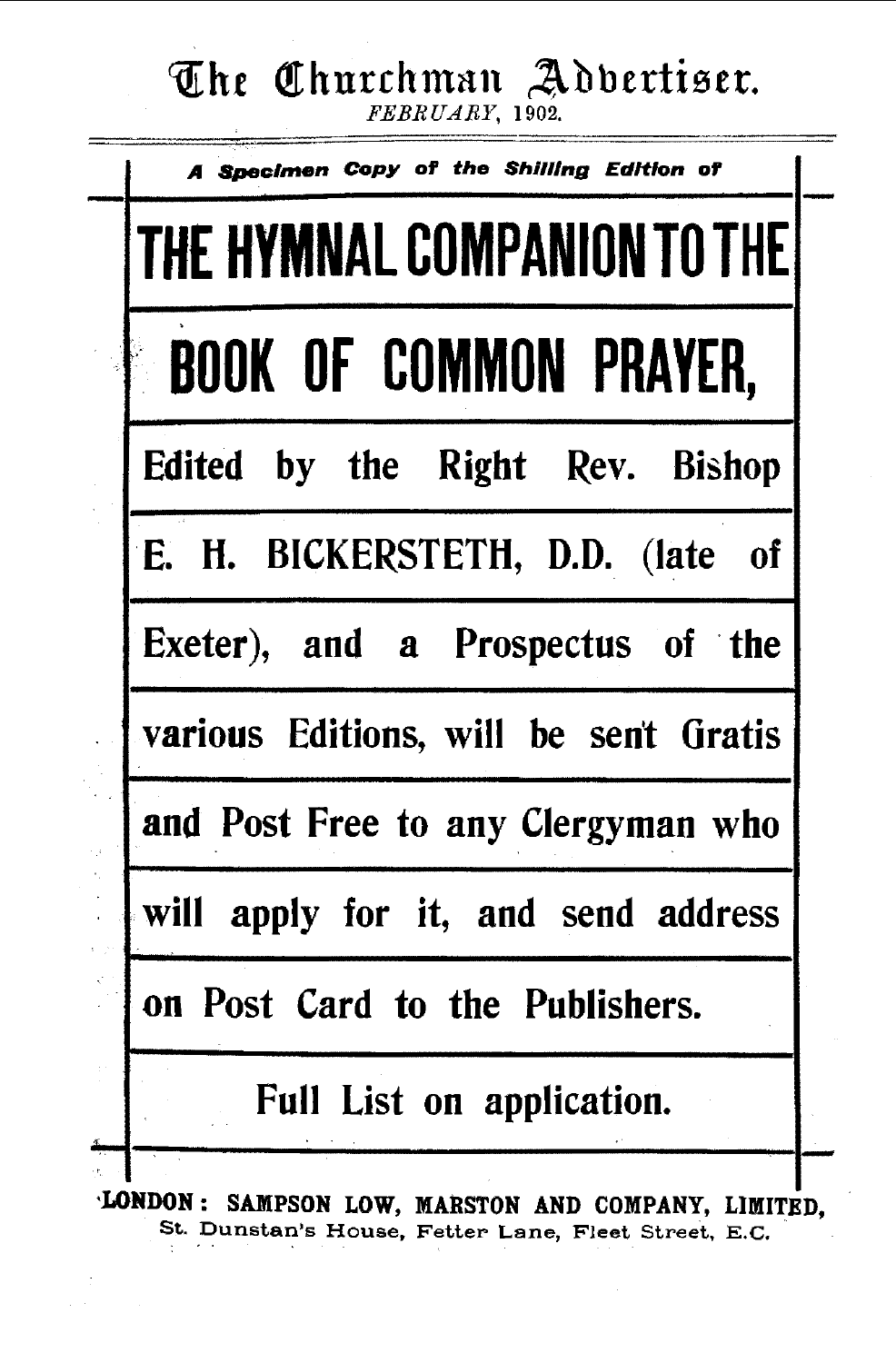# The Churchman Addertiser.

| THE HYMNAL COMPANION TO THE           |
|---------------------------------------|
| <b>BOOK OF COMMON PRAYER,</b>         |
| Edited by the Right Rev. Bishop       |
| E. H. BICKERSTETH, D.D. (late of      |
| Exeter), and a Prospectus of the      |
| various Editions, will be sent Gratis |
| and Post Free to any Clergyman who    |
| will apply for it, and send address   |
| on Post Card to the Publishers.       |
| Full List on application.             |

St. Dunstan's House, Fetter Lane, Fleet Street, E.C.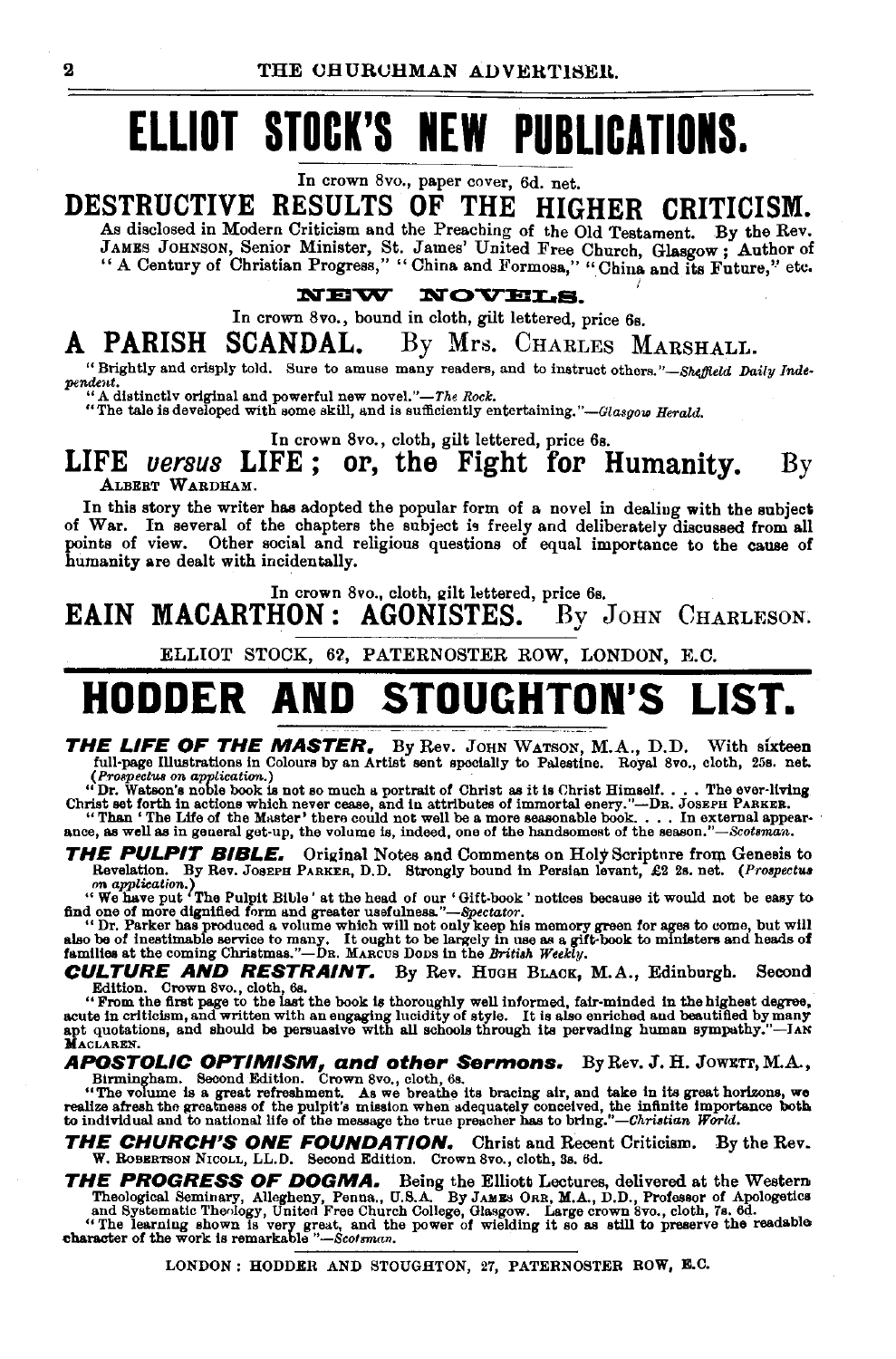# **ELLIOT STOCK'S NEW PUBLICATIONS.**

In crown 8vo., paper cover, 6d. net.

**DESTRUCTIVE RESULTS OF THE HIGHER CRITICISM.** 

As disclosed in Modern Criticism and the Preaching of the Old Testament. By the Rev. JAMES JOHNSON, Senior Minister, St. James' United Free Church, Glasgow ; Author of "A Century of Christian Progress," "China and Formosa," "China and its Future," etc.

**NOVELS. NERV** 

In crown 8 vo., bound in cloth, gilt lettered, price 6s.

### **A PARISH SCANDAL.** By Mrs. CHARLES MARSHALL.

"Brightly and crisply told. Sure to amuse many readers, and to instruct others."-Sheffield Daily Inde $pendent.$ 

A distinctly original and powerful new novel."-The Rock.

"The tale is developed with some skill, and is sufficiently entertaining. *"-Glasgow Herald.* 

In crown 8vo., cloth, gilt lettered, price 6s.

### **LIFE** *versus* **LIFE ; or, the Fight for Humanity.** By ALBERT WARDHAM.

In this story the writer has adopted the popular form of a novel in dealing with the subject of War. In several of the chapters the subject is freely and deliberately discussed from all points of view. Other social and religious questions of equal importance to the cause of humanity are dealt with incidentally.

In crown 8vo., cloth, gilt lettered, price 6s.<br> $\textbf{HON}: ~\textbf{AGON} \textbf{STES}. \quad \text{By} \enspace \text{or}$ EAIN MACARTHON: AGONISTES. By JOHN CHARLESON.

ELLIOT STOCK, 62, PATERNOSTER ROW, LONDON, E.C.

# **HODDER AND STOUGHTON'S LIST.**

**THE LIFE OF THE MASTER.** By Rev. JOHN WATSON, M.A., D.D. With sixteen full-page Illustrations in Colours by an Artist sent specially to Palestine. Royal 8vo., cloth, 25s. net.

full-page Illustrations in Colours by an Artist sent specially to Palestine. Royal 8vo., cloth, 25s. net.<br>
(Propectus on application.)<br>
"The Western excess, and in attributes of immortal enery."--Dr. Joseph Parsers.<br>
"Dr.

THE PULPIT BIBLE. Original Notes and Comments on Holy Scripture from Genesis to Revelation. By Rev. JOSEPH PARKER, D.D. Strongly bound in Persian levant, £2 2s. net. (Prospectus Revelation. By Rev. Jos£PH PARKER, D.D. Strongly bound in Persian levant, £2 2s. net. *(Prospectus on application.)* 

"We have put The Pulpit Bible' at the head of our 'Gift-book' notices because it would not be easy to find one of more dignified form and greater usefulness."—Spectator.<br>"Dr. Parker has produced a volume which will not ou

**CULTURE AND RESTRAINT.** By Rev. HUGH BLACK, M.A., Edinburgh. Second Edition. Crown 8vo., doth, 6s.<br>
"Erom the first page to the last the book is thoroughly well informed, fair-minded in the highest degrees,<br>
acute in crit

# **APOSTOLIC OPTIMISM, and other Sermons.** By Rev. J. H. JowEn,M.A.,

Birmingham. Second Edition. Crown 8vo., cloth, 6s.<br>"The volume is a great refreshment. As we breathe its bracing air, and take in its great horizons, we<br>realize afresh the preatness of the pulpit's mission when adequately

**THE CHURCH'S ONE FOUNDATION.** Christ and Recent Criticism. By the Rev. W. RoBERTSON NICOLL, LL.D. Second Edition. Crown Svo., cloth, Ss. 6d.

**THE PROGRESS OF DOGMA.** Being the Elliott Lectures, delivered at the Western

Theological Seminary, Allegheny, Penna., U.S.A. By JAMES ORR, M.A., D.D., Professor of Apologetics<br>and Systematic Theology, United Free Church College, Glasgow. Large crown 8vo., cloth, 7s. 6d.<br>"The learning shown is very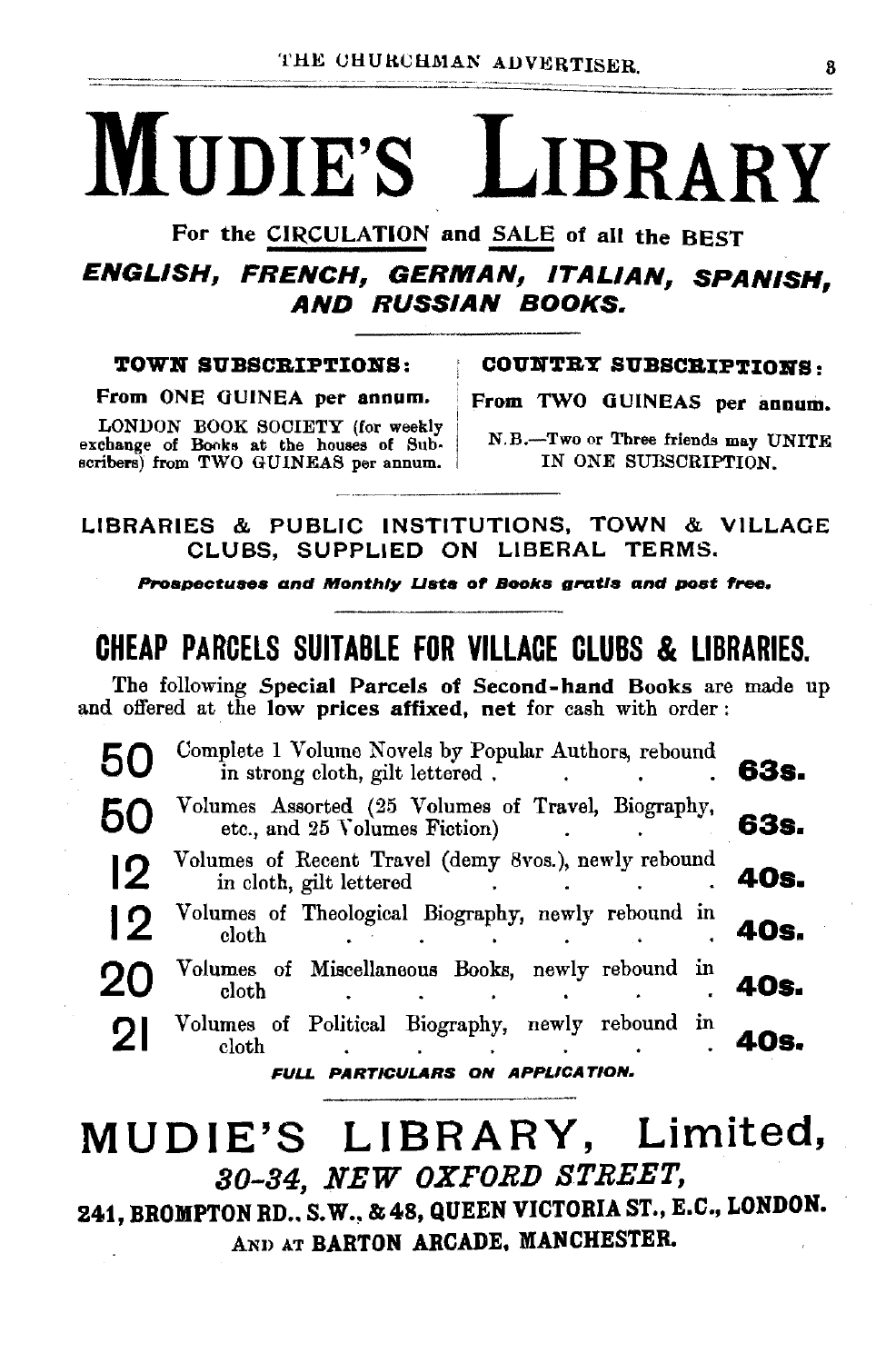# MUDIE'S LIBRARY

For the CIRCULATION and SALE of all the BEST

ENGLISH, FRENCH, GERMAN, ITALIAN, SPANISH, AND RUSSIAN BOOKS.

From ONE GUINEA per annum. From TWO GUINEAS per annum.

LONDON BOOK SOCIETY (for weekly N.B.-Two or Three friends may UNITE exchange of Books at the houses of Subscribers) from TWO GUINEAS per annum. IN ONE SUBSCRIPTION.

TOWN SUBSCRIPTIONS: COUNTRY SUBSCRIPTIONS:

LIBRARIES & PUBLIC INSTITUTIONS, TOWN & VILLAGE CLUBS, SUPPLiED ON LIBERAL TERMS.

Prospectuses and Monthly Lists of Books gratis and post free.

## CHEAP PARCElS SUITABLE FOR VILLAGE CLUBS & LIBRARIES.

The following Special Parcels of Second-hand Books are made up and offered at the low prices affixed, net for cash with order :

|                                  | Complete 1 Volume Novels by Popular Authors, rebound<br>in strong cloth, gilt lettered. | 63s. |  |  |  |
|----------------------------------|-----------------------------------------------------------------------------------------|------|--|--|--|
|                                  | Volumes Assorted (25 Volumes of Travel, Biography, etc., and 25 Volumes Fiction)        | 63s. |  |  |  |
|                                  |                                                                                         | 40s. |  |  |  |
| 12                               | Volumes of Theological Biography, newly rebound in<br>cloth                             | 40s. |  |  |  |
| 20                               | Volumes of Miscellaneous Books, newly rebound in<br>eloth                               | 40s. |  |  |  |
| $\mathcal{D}$                    | Volumes of Political Biography, newly rebound in<br>cloth                               | Ωs.  |  |  |  |
| FULL PARTICULARS ON APPLICATION. |                                                                                         |      |  |  |  |

# MUDIE'S LIBRARY, Limited, 80-84, NEW OXFORD STREET,

241, BROMPTON RD., S.W., & 48, QUEEN VICTORIA ST., E.C., LONDON. AND AT BARTON ARCADE. MANCHESTER.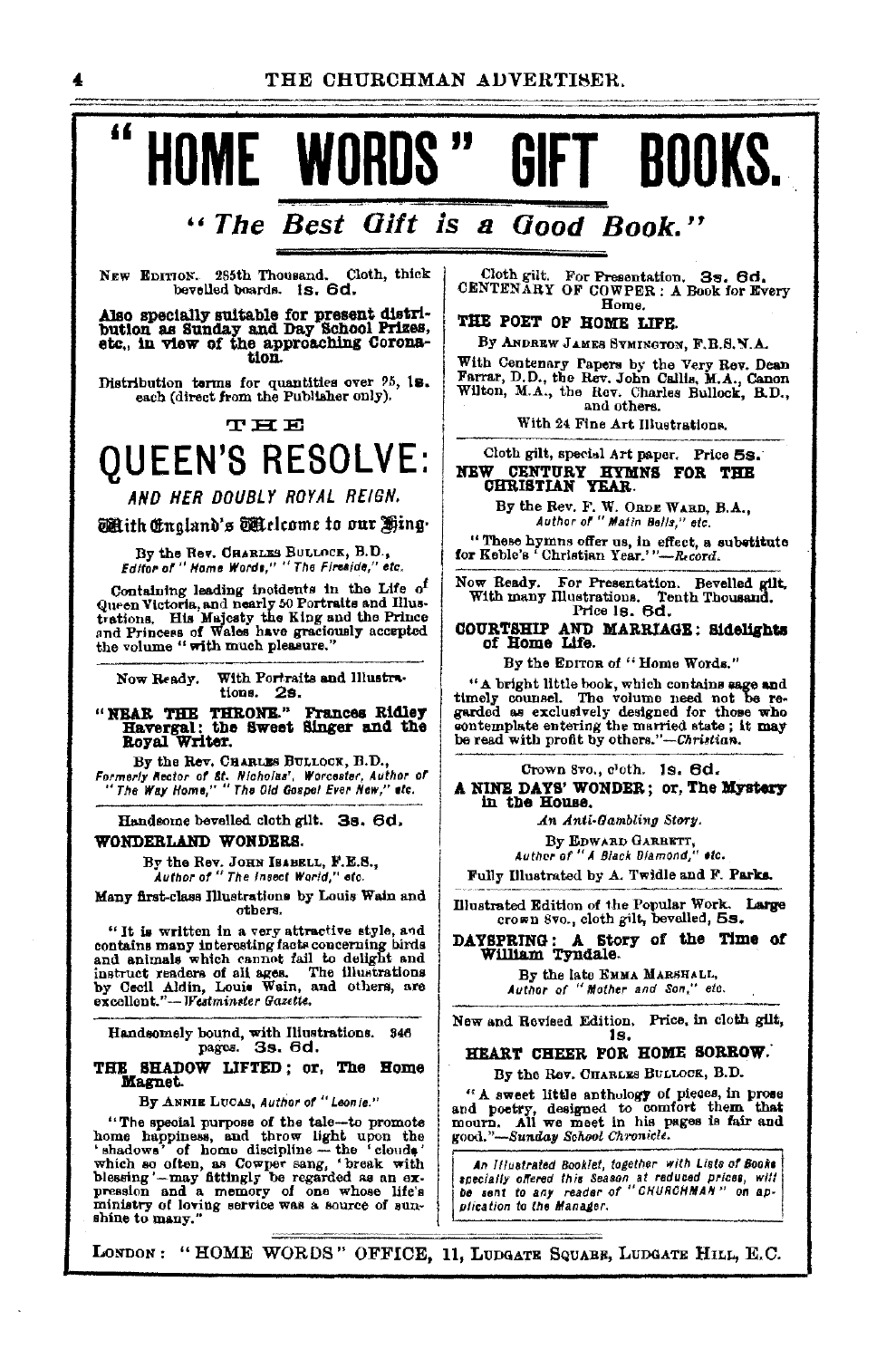# " HOME WORDS" GIFT BOOKS.

# "The Best Gift is a Good Book."

NEW EDITION. 285th Thousand. Cloth, thick bevelled boards. 1s. 6d.

Also specially suitable for present distribution as Sunday and Day School Prizes, etc., in view of the approaching Coronation.

Distribution terms for quantities over 95, 18.<br>each (direct from the Publisher only).

**THE** 

# **QUEEN'S RESOLVE:**

AND HER DOUBLY ROYAL REIGN.

#### Mith England's Mielcome to our Hing.

By the Rev. CHARLES BULLOCK, B.D.,<br>*Editor of "Home Words," "The Fireside," etc.* 

Containing leading incidents in the Life of outsiding indicates and hearly 50 Portraits and Hustrations. His Majesty the King and the Prince and Princess of Wales have graciously accepted the volume " with much pleasure."

Now Ready. With Portraits and Illustrations. 2s.

"NEAR THE THRONE." Frances Ridley<br>Havergal: the Sweet Singer and the<br>Royal Writer.

By the Rev. CHARLES BULLOCK, B.D., Formerly Rector of Et. Nicholas', Worcester, Author of<br>"The Way Home," "The Old Gospel Ever New," etc.

Handsome bevelled cloth gilt. 3s. 6d.

### WONDERLAND WONDERS

By the Rev. JOHN IBABELL, F.E.S., Author of "The Insect World," etc.

Many first-class Illustrations by Louis Wain and cthers.

"It is written in a very attractive style, and<br>contains many interesting facts concerning hirds same and animals which cannot fail to delight and instruct readers of all to delight and instruct readers of all to delight and others, are excellent."-Westminster Gazette.

Handsomely bound, with Illustrations. 346<br>pages. 3s. 6d.

#### THE SHADOW LIFTED; or, The Home Magnet.

By ANNIE LUCAS, Author of "Leonie."

Depends provided the definition of the definition of the special purpose of the definition the 'shadows' of home discribed which so often, as Cowper sang, 'break with blessing'-may fittingly be regarded as an expression an

Cloth gilt. For Presentation. 3s. 6d.<br>CENTENARY OF COWPER: A Book for Every Home.

#### THE POET OF HOME LIFE.

By ANDREW JAMES SYMINGTON, F.B.S.N.A.

With Centenary Papers by the Very Rev. Dean<br>Farrar, D.D., the Rev. John Callis, M.A., Canon<br>Within M.A., Canon Wilton, M.A., the Rev. Charles Bullock, B.D., and others.

With 24 Fine Art Illustrations.

### Cloth gilt, special Art paper. Price 5s. NEW CENTURY HYMNS FOR THE CHRISTIAN YEAR.

By the Rev. F. W. ORDE WARD, B.A.,<br>Author of " Matin Bells." etc.

"These hymns offer us, in effect, a substitute for Keble's "Christian Year.""--Record.

ow Ready. For Presentation. Bevelled gilt,<br>With many Illustrations. Tenth Thousand. Price 18. 6d. Now Ready.

COURTSHIP AND MARRIAGE: Sidelights of Home Life.

By the EDITOR of "Home Words."

"A bright little book, which contains sage and timely counsel. The volume need not be regarded as exclusively designed for those who contemplate entering the married state; it may be read with profit by others."-Christian.

Crown 8vo., c'oth. 1s. 6d.

A NINE DAYS' WONDER; or, The Mystery in the House.

An Anti-Gambling Story.

By EDWARD GARBETT,<br>Author of "A Black Diamond," etc.

Fully Illustrated by A. Twidle and F. Parks.

Illustrated Edition of the Popular Work. Large crown 8vo., cloth gilt, bevelled, 5s.

DAYSPRING: A Story of the Time of William Tyndale.

By the late EMMA MARSHALL, Author of "Mother and Son," etc.

New and Revised Edition. Price, in cloth gilt, 1s.

#### HEART CHEER FOR HOME SORROW.

By the Rev. CHARLES BULLOCK, B.D.

"A sweet little anthology of pieces, in prose and poetry, designed to comfort them that mourn. All we meet in his pages is fair and good."-Sunday School Chronicle.

An Illustrated Booklet, together with Lists of Books specially offered this Season at reduced prices, will<br>be sent to any reader of "CHURCHMAN" on application to the Manager.

LONDON: "HOME WORDS" OFFICE, 11, LUDGATE SQUARE, LUDGATE HILL, E.C.

4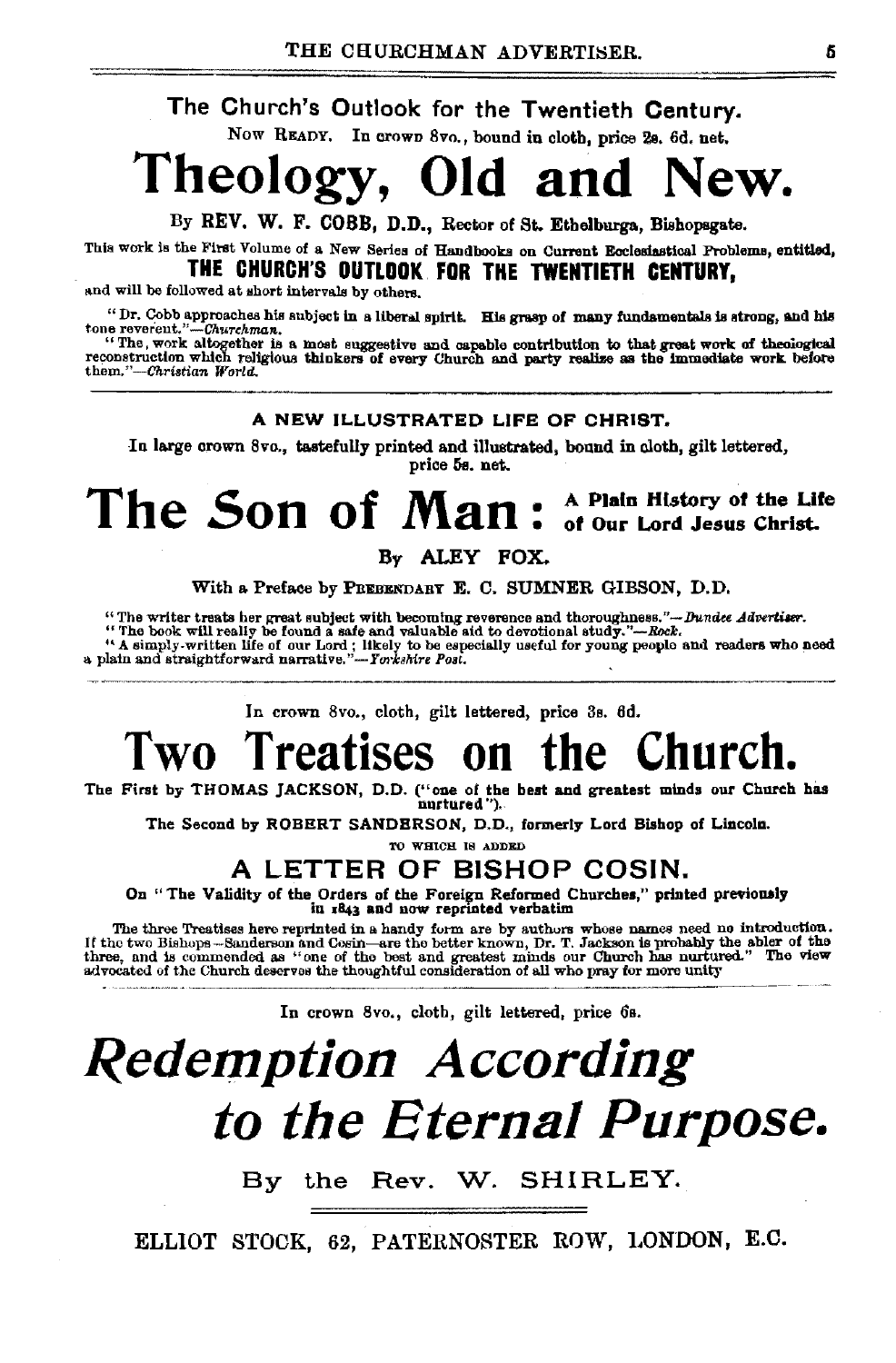The Church's Outlook for the Twentieth Century.

Now READY. In crown Svo., bound in cloth, price 28. 6d. net.

# Theology, Old and New.

By REV. W. F. COBB, D.D., Rector of St. Ethelburga, Bishopsgate.

This work Is the Fitst Volume of a New Series of Handbooks on Current Ecclesiastical Problems, entitled,

### THE CHURCH'S OUTLOOK. FOR THE TWENTIETH CENTURY,

and will be followed at short intervals by others.

" Dr. Cobb approaches his subject in a liberal spirit. His grasp of many fundamentals is strong, and his tone reverent."-Churchman.

"The, work altogether is a most suggestive and capable contribution to that great work of theological reconstruction which religious thinkets of every Church and party realize as tho immediate work before *tbem."-Ckristian World.* 

### A NEW ILLUSTRATED LIFE OF CHRIST.

In large crown Svo., tastefully printed and illustrated, bound in eloth, gilt lettered, price 58. net.

## The Son of Man: A Plain History of the Life of Our Lord Jesus Christ.

By ALEY FOX.

With a Preface by PREBENDARY E. C. SUMNER GIBSON, D.D.

"The writer treats her great subject with becoming reverence and thoroughness."-Dundee Advertiser.

"The writer treats her great subject with becoming reverence and dioroughness.  $\rightarrow$  Delock will really be found a safe and valuable aid coordional study."—Rock.<br>"A simply-written life of our Lord; likely to be especially

In crown Svo., cloth, gilt lettered, price 3s. 6d.

# Two Treatises on the Church.

The First by THOMAS JACKSON, D.O. ("one of the best &nd greatest minds our Church bas nurtured ").

The Second by ROBERT SANDERSON, D.O., formerly Lord Bishop of Lincoln.

TO WHICH IS ADDED

### A LETTER OF BISHOP COSIN.

On "The Validity of the Orders of the Foreign Reformed Churches," printed previously in  $r843$  and now reprinted verbatim

The three Treatises here reprinted in a handy form are by authors whose names need no introduction. If the two Bishops-Sanderson and Cosin—are the better known, Dr. T. Jackson is probably the abler of the better known thre

In crown Svo., cloth, gilt lettered, price 6s.

# *Redemption According to the Eternal Purpose.*

By the Rev. W. SHIRLEY.

ELLIOT STOCK, 62, PATERNOSTER ROW, LONDON, E.C.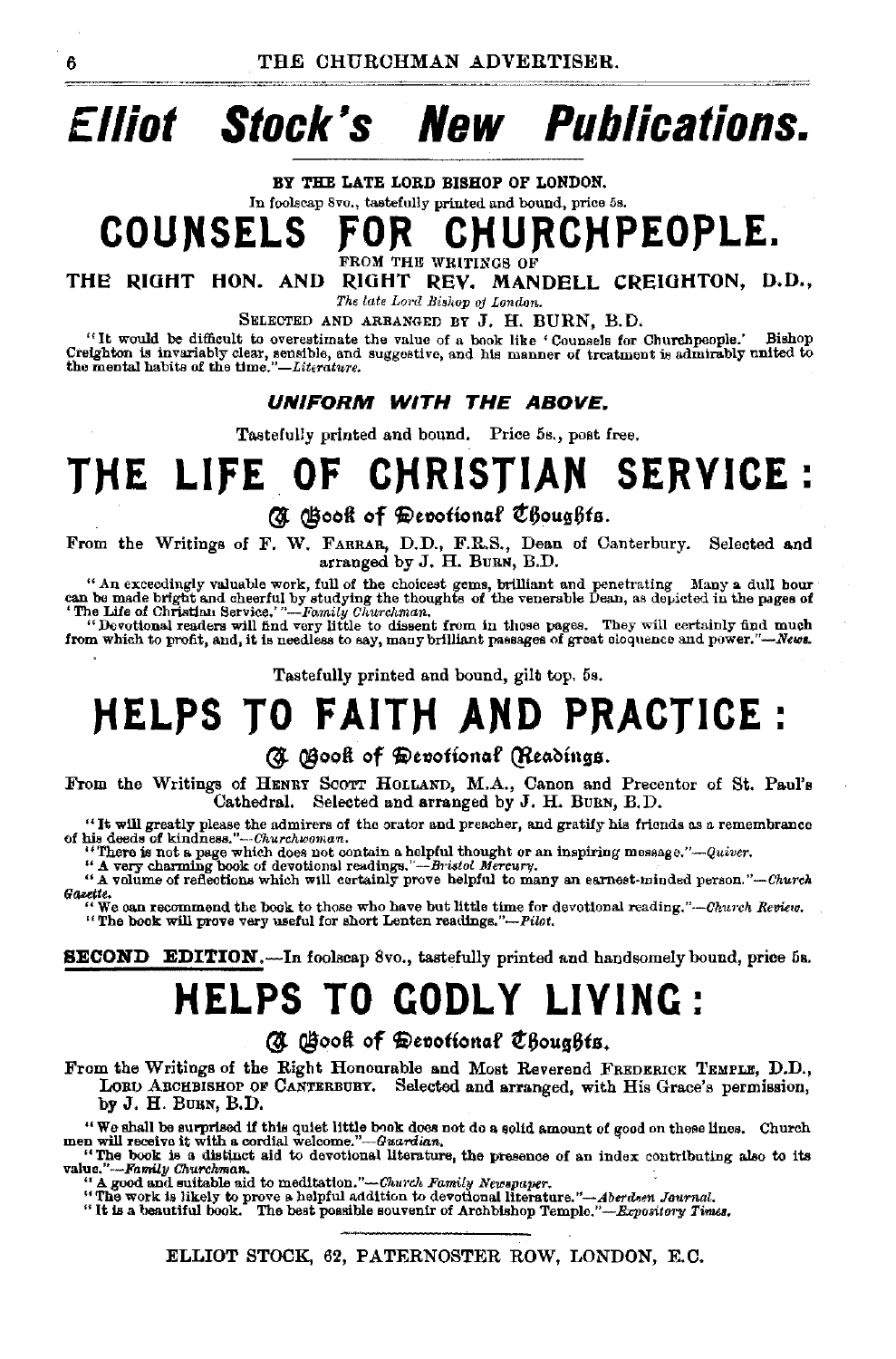# **Elliot Stock's New Publications.**

BY THE LATE LORD BISHOP OF LONDON. In foolscap 8vo., tastefully printed and bound, price 5s.

CHURCHPEOPLE. **COUNSELS** FROM THE WRITINGS OF

RIGHT REV. MANDELL CREIGHTON, D.D., THE RIGHT HON. AND

The late Lord Bishop of London.

SELECTED AND ARRANGED BY J. H. BURN, B.D.

"It would be difficult to overestimate the value of a book like 'Counsels for Churchpeople." **Bishon** Creighton is invariably clear, sensible, and suggestive, and his manner of treatment is admirably united to the mental habits of the time."-Literature.

#### UNIFORM WITH THE ABOVE.

Tastefully printed and bound. Price 5s., post free.

# THE LIFE OF CHRISTIAN SERVICE:

### (A Gook of Devotional Choughts.

From the Writings of F. W. FARRAR, D.D., F.R.S., Dean of Canterbury. Selected and arranged by J. H. BURN, B.D.

"An exceedingly valuable work, full of the choicest gems, brilliant and penetrating Many a dull hour can be made bright and cheerful by studying the thoughts of the venerable Dean, as depicted in the pages of "The Life of

"Devottonal readers will find very little to dissent from in those pages. They will certainly find much from which to profit, and, it is needless to say, many brilliant passages of great eloquence and power."—Nevs.

Tastefully printed and bound, gilt top. 5s.

# **HELPS TO FAITH AND PRACTICE:**

### (N Gook of Devotional (Readings.

From the Writings of HENRY SCOTT HOLLAND, M.A., Canon and Precentor of St. Paul's Selected and arranged by J. H. BURN, B.D. Cathedral.

"It will greatly please the admirers of the orator and preacher, and gratify his friends as a remembrance of his deeds of kindness."-Churchwoman.

"There is not a page which does not contain a helpful thought or an inspiring message."—Quiver.<br>"A very charming book of devotional readings."—Bristol Mercury.<br>"A volume of reflections which will certainly prove helpful to Gazette.

"We can recommend the book to those who have but little time for devotional reading."-Church Review. "The book will prove very useful for short Lenten readings."-Pilot.

**SECOND** EDITION.—In foolscap 8vo., tastefully printed and handsomely bound, price 5s.

# **HELPS TO GODLY LIVING:**

### G Gook of Devotional Choughts.

From the Writings of the Right Honourable and Most Reverend FREDERICK TEMPLE, D.D., LORD ARCHBISHOP OF CANTERBURY. Selected and arranged, with His Grace's permission, by J. H. BUBN, B.D.

"We shall be surprised if this quiet little book does not do a solid amount of good on these lines. Church men will receive it with a cordial welcome."—Guardian.

"The book is a distinct aid to devotional literature, the presence of an index contributing also to its value."-Family Churchman.

" A good and suitable aid to meditation."—Charch Family Newspaper.<br>"A good and suitable aid to meditation to devotional literature."—Aberdsen Jeurnal.<br>"It is a beautiful book. The best possible souvenir of Archbishop Templ

ELLIOT STOCK, 62, PATERNOSTER ROW, LONDON, E.C.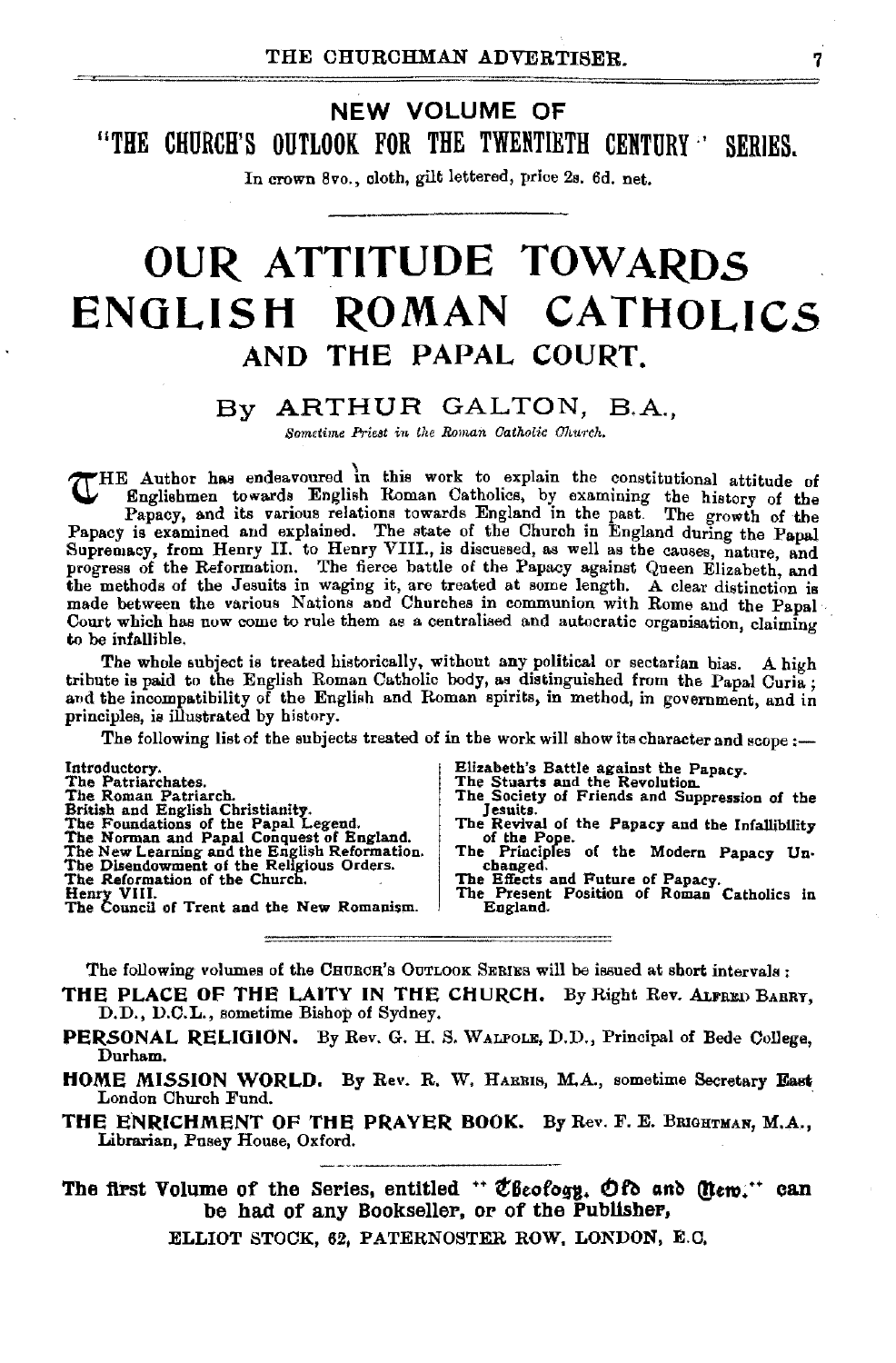### NEW VOLUME OF "THE CHURCH'S OUTLOOK FOR THE TWENTIETH CENTURY<sup>"</sup> SERIES.

In crown 8vo., cloth, gilt lettered, price 2s. 6d. net.

# OUR ATTITUDE TOWARDS ENGLISH ROMAN CATHOLICS AND THE PAPAL COURT.

### By ARTHUR GALTON, B.A.,

*Sometime Priest in the Roman Catholic Church.* 

THE Author has endeavoured in this work to explain the constitutional attitude of Englishmen towards English Roman Catholics, by examining the history of the Papacy, and its various relations towards England in the past. The growth of the Papacy is examined and explained. The state of the Church in Engl Supremacy, from Henry II. to Henry VIII., is discussed, as well as the causes, nature, and progress of the Reformation. The fierce battle of the Papacy against Queen Elizabeth, and the methods of the Jesuits in waging it, are treated at some length. A clear distinction is made between the various Nations and Churches in communion with Rome and the Papal Court which has now come to rule them as a centralised and autocratic organisation, claiming to be infallible.

The whole subject is treated historically, without any political or sectarian bias. A high tribute is paid to the English Roman Catholic body, as distinguished from the Papal Curia; and the incompatibility of the English and Roman spirits, in method, in government, and in principles, is illustrated by history.

The following list of the subjects treated of in the work will show its character and scope:-

| Introductory.                                 | Elizabeth's Battle against the Papacy.          |
|-----------------------------------------------|-------------------------------------------------|
| The Patriarchates.                            | The Stuarts and the Revolution.                 |
| The Roman Patriarch.                          | The Society of Friends and Suppression of the   |
| British and English Christianity.             | Jesuits.                                        |
| The Foundations of the Papal Legend.          | The Revival of the Papacy and the Infallibility |
| The Norman and Papal Conquest of England.     | of the Pope.                                    |
| The New Learning and the English Reformation. | The Principles of the Modern Papacy Un-         |
| The Disendowment of the Religious Orders.     | changed.                                        |
| The Reformation of the Church.                | The Effects and Future of Papacy.               |
| Henry VIII.                                   | The Present Position of Roman Catholics in      |
| The Council of Trent and the New Romanism.    | England.                                        |

The following volumes of the CHURCH's OUTLOOK SERIES will be issued at short intervals :

THE PLACE OF THE LAITY IN THE CHURCH. By Right Rev. ALFRED BARRY, D.D., D.C.L., sometime Bishop of Sydney.

- PERSONAL RELIGION. By Rev. G. H. S. WALFOLE, D.D., Principal of Bede College, Durham.
- HOME MISSION WORLD. By Rev. R. W. HARRIS, M.A., sometime Secretary East London Church Fund.
- THE ENRICHMENT OF THE PRAYER BOOK. By Rev. F. E. BRIGHTMAN, M.A., Librarian, Pusey House, Oxford.

The first Volume of the Series, entitled "  $\mathfrak{C}$ Beofogy.  $\mathfrak{O}$  fo and (Item." can be had of any Bookseller, or of the Publisher,

ELLIOT STOCK, 62, PATERNOSTER ROW, LONDON, E.C,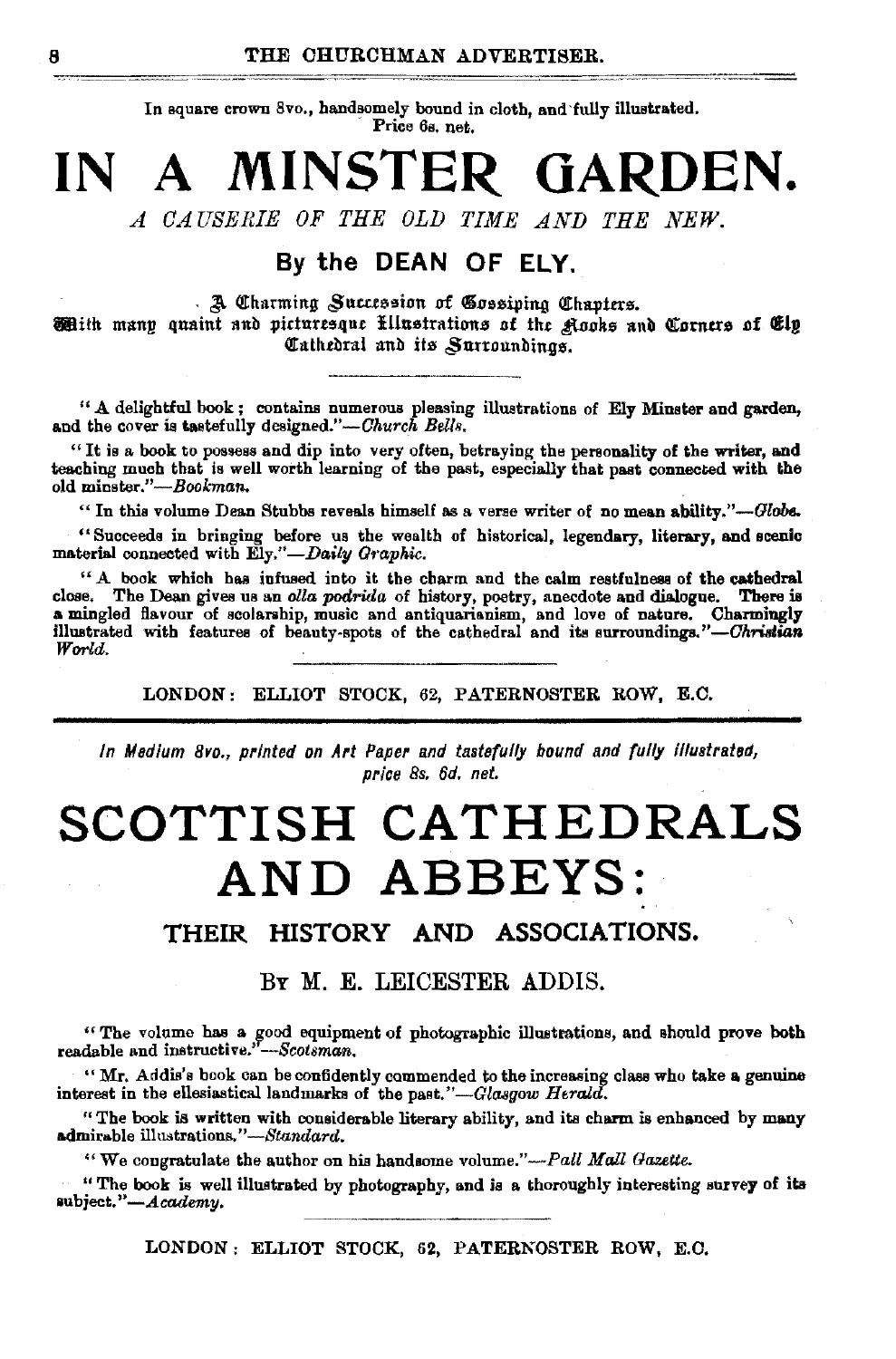In square crown 8vo., handsomely bound in cloth, and fully illustrated. Price 6s. net.

### MINSTER GARDEN. IN  $\mathbf A$

A CAUSERIE OF THE OLD TIME AND THE NEW.

### By the DEAN OF ELY.

. A Charming Succession of Gossiping Chapters.

Mith many quaint and picturesque fillustrations of the Agoks and Corners of Elp Cathedral and its Surroundings.

"A delightful book; contains numerous pleasing illustrations of Ely Minster and garden, and the cover is tastefully designed."—Church Bells.

"It is a book to possess and dip into very often, betraying the personality of the writer, and teaching much that is well worth learning of the past, especially that past connected with the old minster."-Bookman.

"In this volume Dean Stubbs reveals himself as a verse writer of no mean ability."-Globe.

"Succeeds in bringing before us the wealth of historical, legendary, literary, and scenic material connected with Ely."-Daily Graphic.

"A book which has infused into it the charm and the calm restfulness of the cathedral close. The Dean gives us an olla podrida of history, poetry, anecdote and dialogue. There is illustrated with features of beauty-spots of the cathedral and its surroundings."-Christian World.

LONDON: ELLIOT STOCK, 62, PATERNOSTER ROW, E.C.

In Medium 8vo., printed on Art Paper and tastefully bound and fully illustrated, price 8s. 6d. net.

# SCOTTISH CATHEDRALS AND ABBEYS:

#### THEIR HISTORY AND ASSOCIATIONS.

### BY M. E. LEICESTER ADDIS.

"The volume has a good equipment of photographic illustrations, and should prove both readable and instructive."--Scotsman.

"Mr. Addis's book can be confidently commended to the increasing class who take a genuine interest in the ellesiastical landmarks of the past."-Glasgow Herald.

"The book is written with considerable literary ability, and its charm is enhanced by many admirable illustrations."-Standard.

"We congratulate the author on his handsome volume."-Pall Mall Gazette.

"The book is well illustrated by photography, and is a thoroughly interesting survey of its subject."-Academy.

LONDON: ELLIOT STOCK, 62, PATERNOSTER ROW, E.C.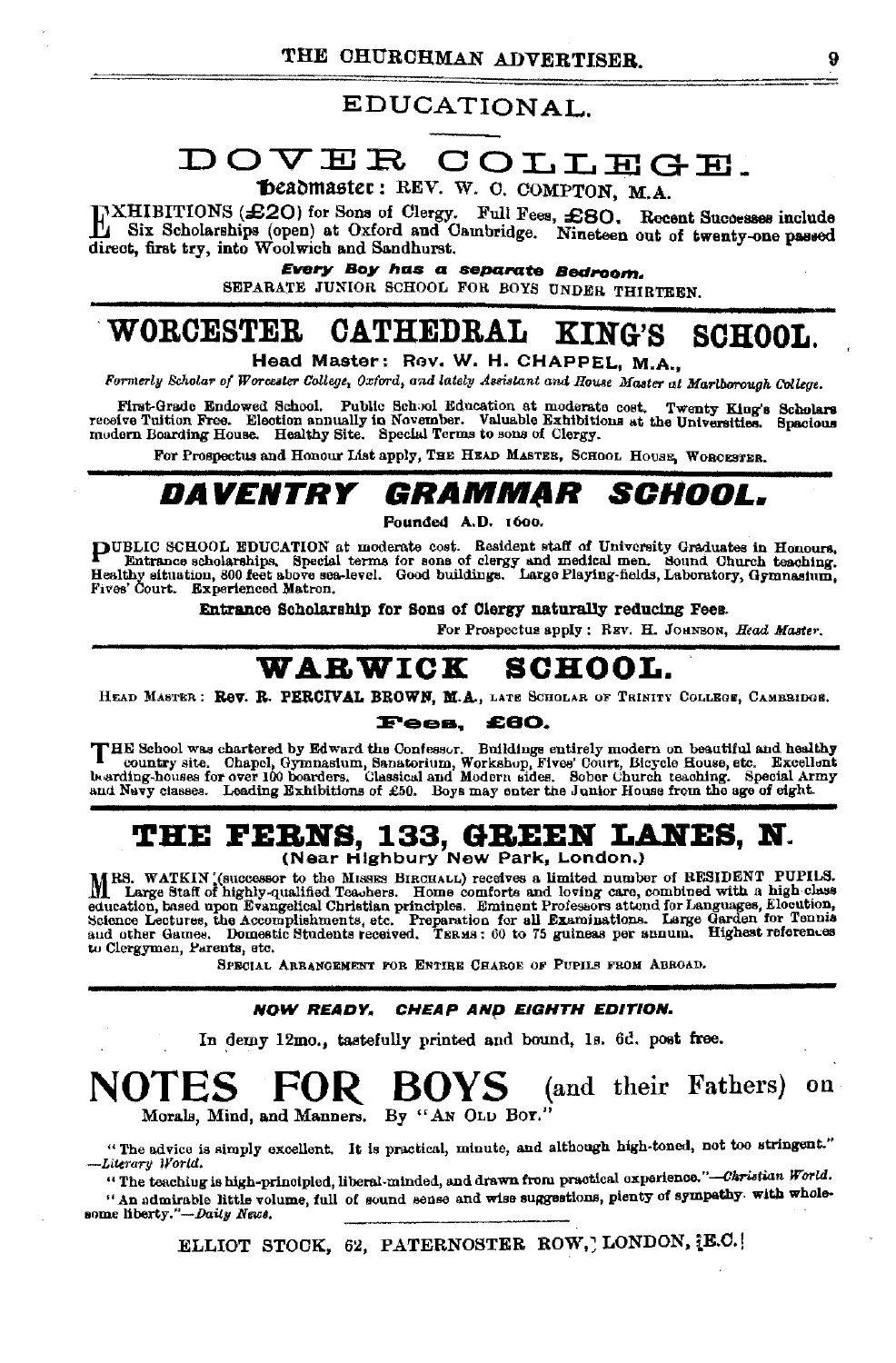### EDUCATIONAL.

# DOVER COLLEGE.

beadmaster: REV. W. C. COMPTON, M.A.

HXHIBITIONS (£20) for Sons of Clergy. Full Fees, £80. Recent Successes include direct, first try, into Woolwich and Sandhurst. Nineteen out of twenty-one passed

Every Boy has a separate Bedroom. SEPARATE JUNIOR SCHOOL FOR BOYS UNDER THIRTEEN.

#### WORCESTER CATHEDRAL **KING'S SCHOOL.**

Head Master: Rev. W. H. CHAPPEL, M.A.,

Formerly Scholar of Worcester College, Oxford, and lately Assistant and House Master at Martborough College.

First-Grade Endowed School. Public School Education at moderate cost. Twenty King's Scholars receive Tuition Free. Election annually in November. Valuable Exhibitions at the Universities. Spacious modern Boarding House. He

For Prospectus and Honour List apply, THE HEAD MASTES, SCHOOL HOUSE, WORCESTER.

#### *GRAMMAR SCHOOL.* DAVENTRY

Founded A.D. 1600.

PUBLIC SCHOOL EDUCATION at moderate cost. Resident staff of University Graduates in Honours. Fontrance scholarships. Special terms for some of clergy and medical men. Sound Church teaching.<br>Healthy situation, 800 feet above sea-level. Good buildings. Large Playing-fields, Laboratory, Gymnasium, Fives' Court. Experienced Matron.

Entrance Scholarship for Sons of Clergy naturally reducing Fees.

For Prospectus apply: REV. H. JOHNSON, Head Master

#### WARWICK **SCHOOL.**

HEAD MASTER: Rev. R. PERCIVAL BROWN, M.A., LATE SCHOLAR OF TRINITY COLLEGE, CAMBRIDGE.

#### **Fees. £80.**

THE School was chartered by Edward the Confessor. Buildings entirely modern on beautiful and healthy country site. Chapel, Gymnasium, Sanatorium, Workshop, Fives' Court, Bicycle House, etc. Excellent bearding-houses for ov and Navy classes. Leading Exhibitions of £50. Boys may enter the Junior House from the age of eight.

# **THE FERNS, 133, GREEN LANES, N.**<br>(Near Highbury New Park, London.)

MRS. WATKIN (successor to the MISSES BIRCHALL) receives a limited number of RESIDENT PUPILS.<br>M Large Staff of highly-qualified Teachers. Home comforts and loving care, combined with a high-class The English of Branch Control of Branch Community and the control of the englishment Professors attend for Languages, Elocution, Science Lectures, the Accomplishments, etc. Preparation for all Examinations. Large Garden fo to Clergymen, Parents, etc.

SPECIAL ARRANGEMENT FOR ENTIRE CHARGE OF PUPILS FROM ABROAD.

#### NOW READY, CHEAP AND EIGHTH EDITION.

In demy 12mo., tastefully printed and bound, 1s. 6d. post free.

#### **ROVS** FOR . (and their Fathers) on Morals, Mind, and Manners. By "AN OLD BOY."

"The advice is simply excellent. It is practical, minute, and although high-toned, not too stringent." -Literary World.

"The teaching is high-principled, liberal-minded, and drawn from practical experience."-Caristian World. "An admirable little volume, full of sound sense and wise suggestions, pienty of sympathy. with wholesome liberty."-Daity News.

ELLIOT STOCK, 62, PATERNOSTER ROW, LONDON, [E.C.]

ğ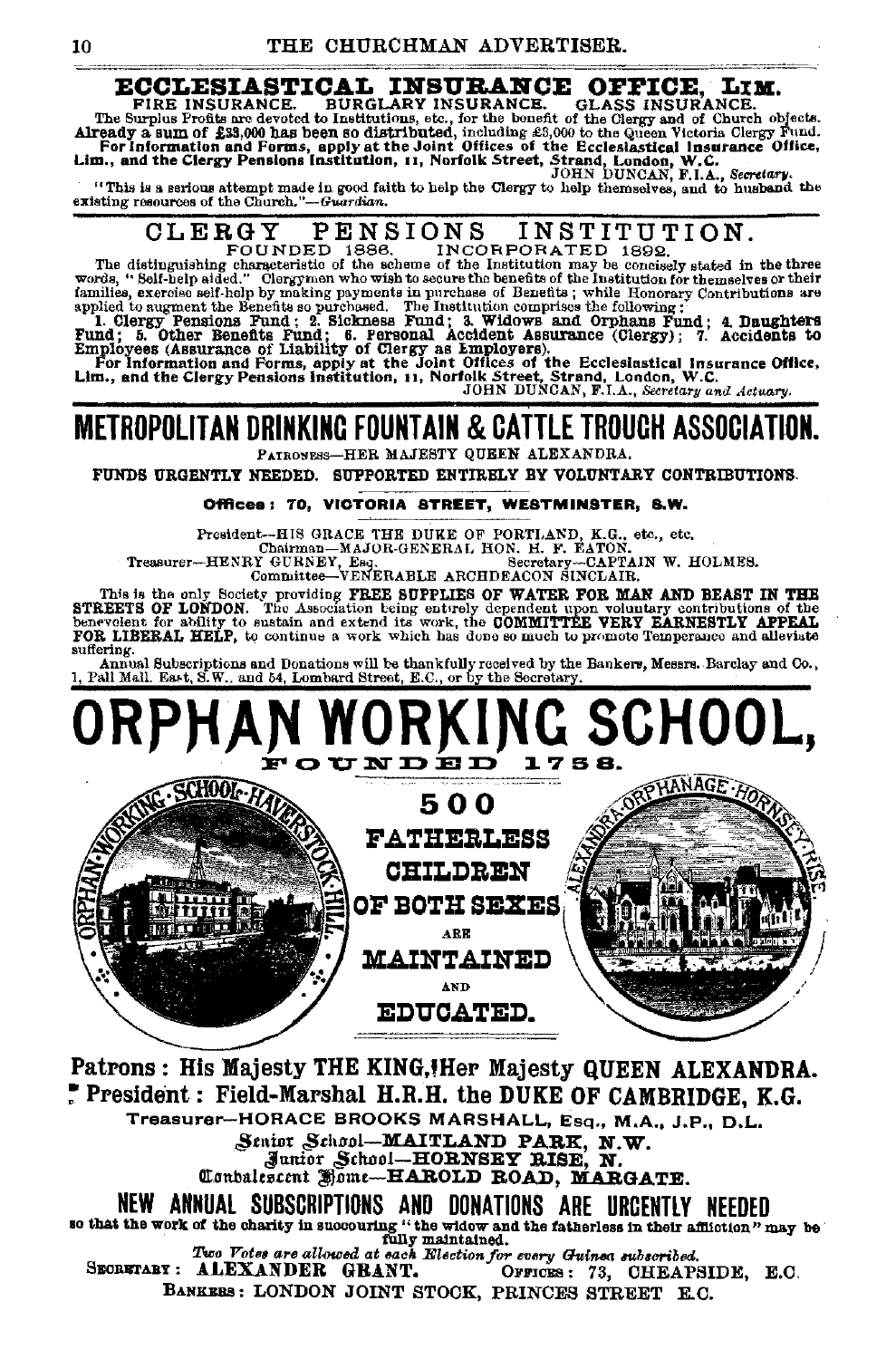#### **ECCLESIASTICAL INSURANCE OFFICE.** LIM. **BURGLARY INSURANCE.** FIRE INSURANCE. **GLASS INSURANCE.**

FIRE INSURANCE. BURGLARY INSURANCE. GLASS INSURANCE.<br>The Surplus Profits are devoted to Institutions, etc., for the bonefit of the Girgy and of Church objects.<br>Already a sum of £33,000 has been so distributed, including £

#### INSTITUTION. CLERGY PENSIONS

ULLET IN SIUNN INSITITUT ION.<br>
FOUNDED 1886. INCORPORATED 1987 ISSUES.<br>
FOUNDED 1988. INCORPORATED 1989.<br>
The distinguishing characteristic of the scheme of the Institution may be concisely stated in the three<br>
words, "So

JOHN DUNCAN, F.I.A., Secretary and Actuary.

### METROPOLITAN DRINKING FOUNTAIN & CATTLE TROUGH ASSOCIATION. PATRONESS-HER MAJESTY QUEEN ALEXANDRA.

FUNDS URGENTLY NEEDED. SUPPORTED ENTIRELY BY VOLUNTARY CONTRIBUTIONS.

#### Offices: 70, VICTORIA STREET, WESTMINSTER, S.W.

President--HIS GRACE THE DUKE OF PORTLAND, K.G., etc., etc., Chairman--MAJOR-GENERAL HON. H. F. EATON.<br>Treasurer---HENRY GURNER, Esq., etc., Chairman--MAJOR-GENERAL HON. H. F. EATON.<br>Committee--VENERABLE ARCHDEACON SINCLAI

Secretary-CAPTAIN W. HOLMES.

This is the only Society providing FREE SUPPLIES OF WATER FOR MAN AND BEAST IN THE STREETS OF LONDON. The Association being entirely dependent upon voluntary contributions of the SERVERT OF LONDON. For each the COMMITTEE V suffering.

Annual Subscriptions and Donations will be thankfully received by the Bankers, Messrs. Barclay and Co., Pall Mall. East, S.W., and 54, Lombard Street, E.C., or by the Secretary.



Patrons: His Majesty THE KING, Her Majesty QUEEN ALEXANDRA. President: Field-Marshal H.R.H. the DUKE OF CAMBRIDGE, K.G. Treasurer-HORACE BROOKS MARSHALL, Esq., M.A., J.P., D.L. Senior School-MAITLAND PARK, N.W. Junior School-HORNSEY RISE, N.W.<br>Conbalescent Home-HAROLD ROAD, MARGATE. NEW ANNUAL SUBSCRIPTIONS AND DONATIONS ARE URCENTLY NEEDED so that the work of the charity in succouring "the widow and the fatherless in their affliction" may be fully maintained. Two Votes are allowed at each Election for every Guinea subscribed. SECRETARY: ALEXANDER GRANT. OFFICES: 73, CHEAPSIDE, E.C. BANKERS: LONDON JOINT STOCK, PRINCES STREET E.C.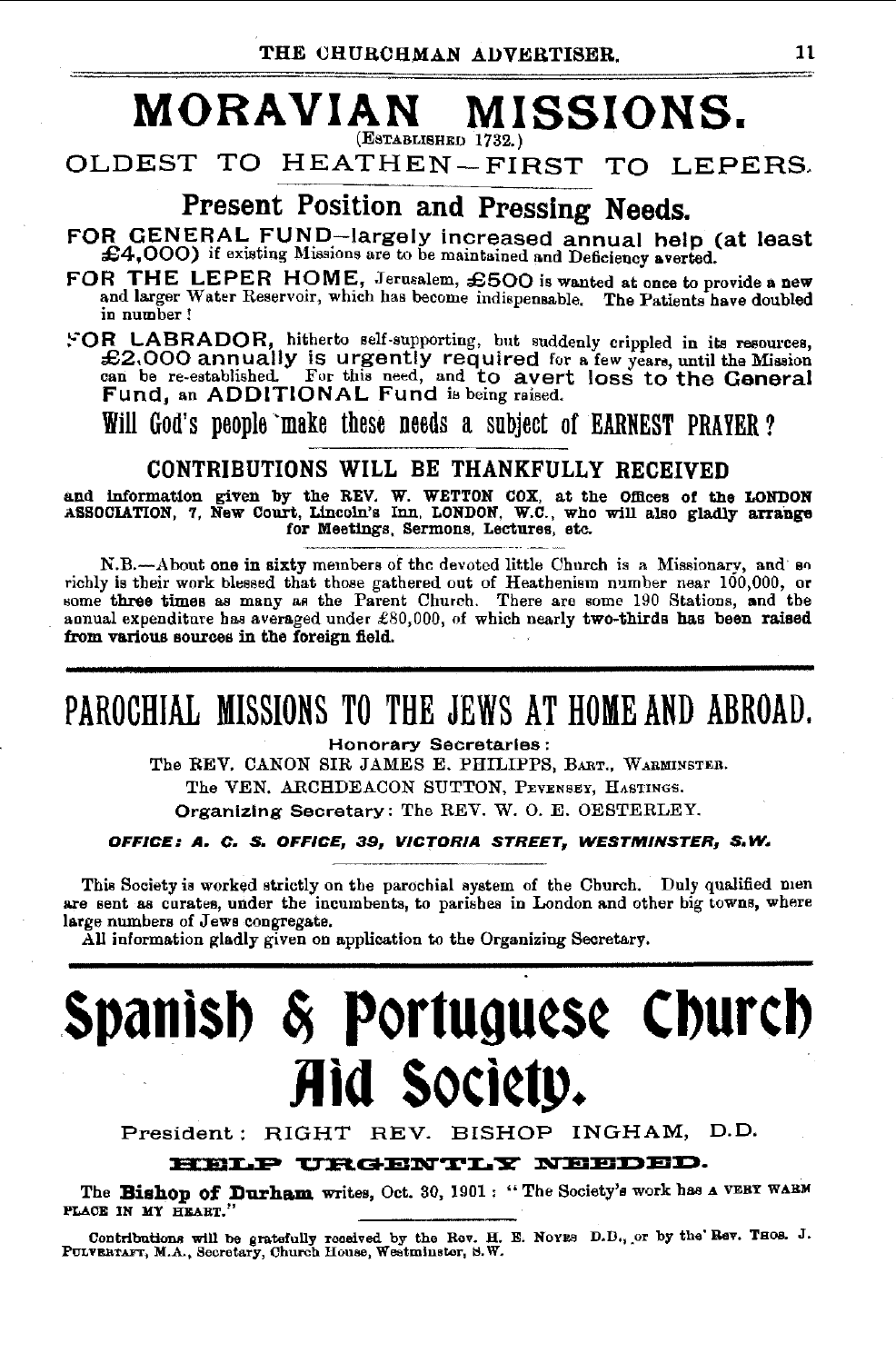### **MORAVIAN MISSIONS.**  (ESTABLISHED 1732.)

OLDEST TO HEATHEN-FIRST TO LEPERS-

# Present Position and Pressing Needs.

FOR GENERAL FUND—largely increased annual help (at least £4,000) if existing Missions are to be maintained and Deficiency averted.

FOR THE LEPER HOME, Jerusalem, £500 is wanted at once to provide a new and larger 'Vater Reservoir, which has become indispensable. The Patients have doubled in number!

!-'OR LABRADOR, hit?erto self-supporting, but suddenly crippled in its resources, £2.000 annually IS urgently required for a few years, until the Mission can be re-established. For this need, and to avert loss to the General Fund, an ADDITIONAL Fund is being raised.

Will God's people ·make these needs a subject of EARNEST PRAYER?

### CONTRIBUTIONS WILL BE THANKFULLY RECEIVED

and information given by the REV. W. WETTON COX, at the Offices of the LONDON ASSOCIATION, '1, New Court, Lincoln's Inn, LONDON, W.C., who will also gladly arrange for Meetings, Sermons, Lectures, etc.

N.B.-About one in sixty members of the devoted little Church is a Missionary, and so richly is their work blessed that those gathered out of Heathenism number near 100,000, or some three times as many as the Parent Church. There are some 190 Stations, and the annual expenditure bas averaged under £80,000, of which nearly two-thirds has been raised from various sources in the foreign field.

# PAROCHIAL MISSIONS TO THE JEWS AT HOME AND ABROAD.

Honorary Secretaries:

The REV. CANON SIR JAMES E. PHILIPPS, BART., WARMINSTER.

The VEN. ARCHDEACON SUTTON, PEYENSEY, HASTINGS.

Organizing Secretary: The REV. W. 0. E. OESTERLEY.

OFFICE: A. C. S, OFFICE, 39, VICTORIA STREET, WESTMINSTER, S. W.

This Society is worked strictly on the parochial system of the Church. Duly qualified men are sent as curates, under the incumbents, to parishes in London and other big towns, where large numbers of Jews congregate.

All information gladly given on application to the Organizing Secretary.

# **Spanlsb** ~ **Portugu¢S¢ Cburcb Jlld SOCI¢tp.**

President: RIGHT REV. BISHOP INGHAM, D.D.

### HELP URGENTLY NEEDED.

The Bishop of Durham writes, Oct. 30, 1901: "The Society's work has a VERY WABM PLACE IN MY HEART."

Contributions will be gratefully received by the Rev. H. E. Novas D.D., or by the Rev. Thos. J. PunverarAFr, M.A., Secretary, Church House, Westminster, S.W.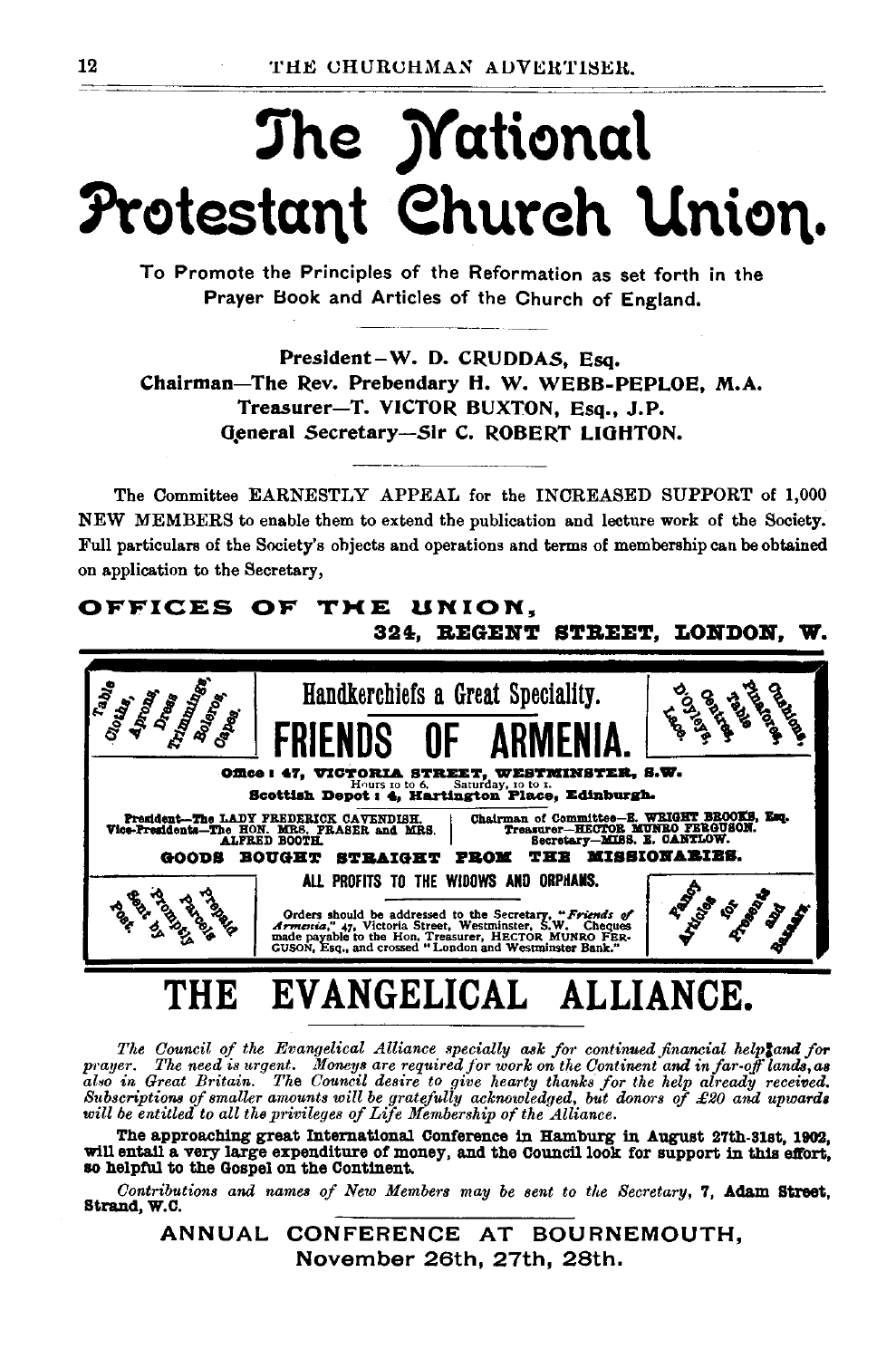# The *Mational* Protestant Church Union.

To Promote the Principles of the Reformation as set forth in the Prayer Book and Articles of the Church of England.

President-W. D. CRUDDAS, Esq. Chairman-The Rev. Prebendary H. W. WEBB-PEPLOE. M.A. Treasurer-T. VICTOR BUXTON, Esq., J.P. General Secretary-Sir C. ROBERT LIGHTON.

The Committee EARNESTLY APPEAL for the INCREASED SUPPORT of 1,000 NEW MEMBERS to enable them to extend the publication and lecture work of the Society. Full particulars of the Society's objects and operations and terms of membership can be obtained on application to the Secretary,

# OFFICES OF THE UNION. 324. REGENT STREET. LONDON. W. Handkerchiefs a Great Speciality.



#### **EVANGELICAL** M:13 ALLIANCE.

The Council of the Evangelical Alliance specially ask for continued financial helptand for prayer. The need is urgent. Moneys are required for work on the Continent and in far-off lands, as program Great Britain. The Council desire to give hearty thanks for the help already received.<br>Subscriptions of smaller amounts will be gratefully acknowledged, but donors of £20 and upwards<br>will be entitled to all the pri

The approaching great International Conference in Hamburg in August 27th-31st, 1902, will entail a very large expenditure of money, and the Council look for support in this effort, so helpful to the Gospel on the Continent.

Contributions and names of New Members may be sent to the Secretary, 7, Adam Street. Strand, W.C.

ANNUAL CONFERENCE AT BOURNEMOUTH. November 26th, 27th, 28th.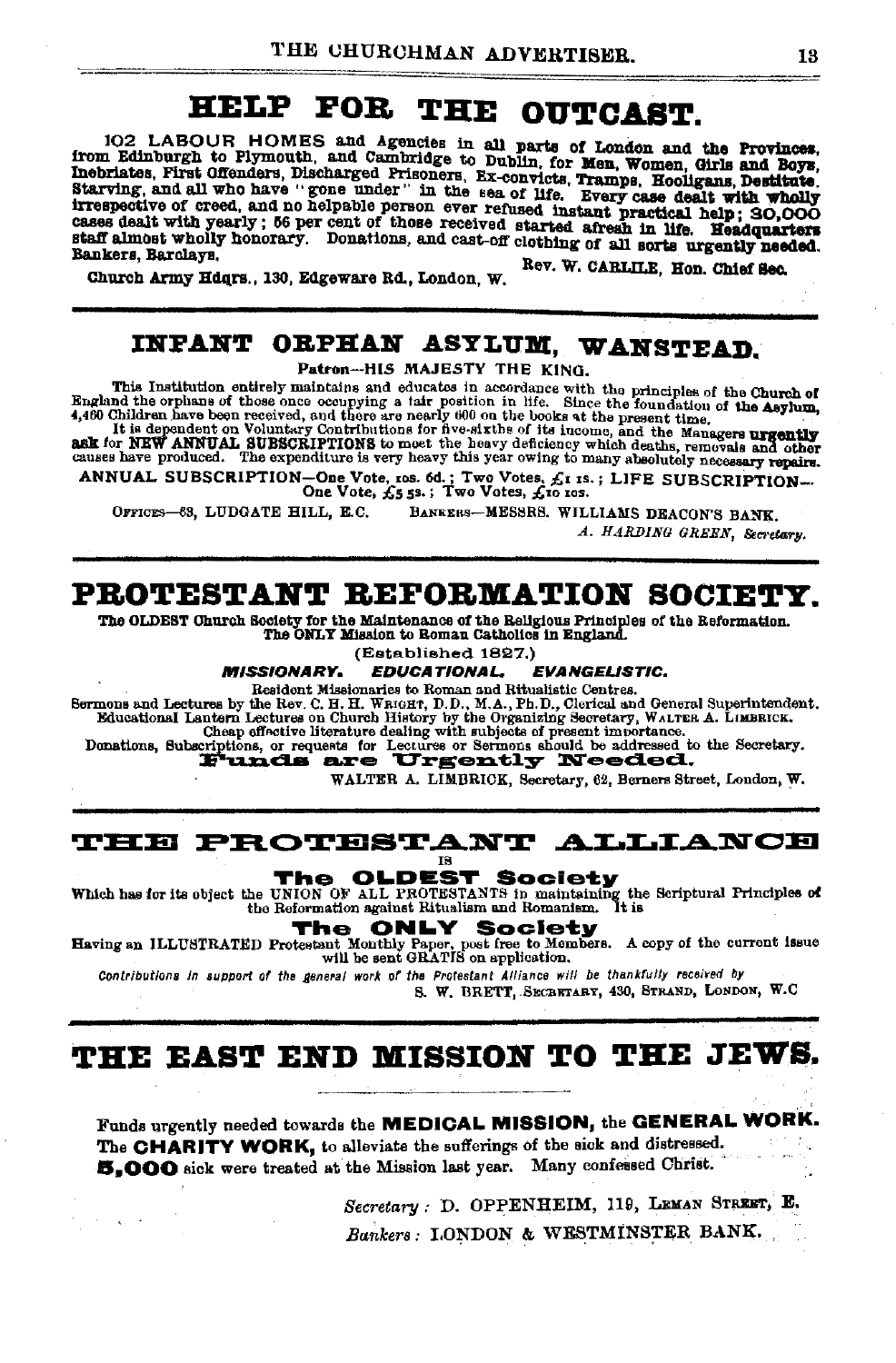# HELP FOR THE OUTCAST.

102 LABOUR HOMES and Agencies in all parts of London and the Provinces, from Edinburgh to Plymouth, and Cambridge to Dublin, for Men, Women, Girls and Boys, Inchristes, First Offenders, Discharged Prisoners, Ex-convicts, Tramps, Hooligans, Destitute. Starving, and all who have "gone under" in the sea of life. Every case dealt with wholly Starving, and all who have gone much in the sea of life. Every case useful with whom cases dealt with yearly; 56 per cent of those received started afresh in life. Headquarters staff almost wholly honorary. Donations, and cast-off clothing of all sorts urgently needed. Bankers, Barolavs,

Rev. W. CARLILE, Hon. Chief Sec. Church Army Hdqrs., 130, Edgeware Rd., London, W.

### INFANT ORPHAN ASYLUM, WANSTEAD.

Patron-HIS MAJESTY THE KING.

This Institution entirely maintains and educates in accordance with the principles of the Church of This Institution entirely maintains and educates in accordance with the principles of the Church of Repland the orphane of those once cocupying a jair position in life. Since the foundation of the Asylum, it is dependent o

ANNUAL SUBSCRIPTION-One Vote, ros. 6d.; Two Votes, £1 IS.; LIFE SUBSCRIPTION-<br>One Vote, £5 5s.; Two Votes, £10 ros.

BANKERS-MESSRS. WILLIAMS DEACON'S BANK. OFFICES-63, LUDGATE HILL, E.C.

A. HARDING GREEN, Secretary.

### PROTESTANT REFORMATION SOCIETY.

The OLDEST Church Society for the Maintenance of the Religious Principles of the Reformation. The ONLY Mission to Roman Catholics in England.

(Established 1827.)

**MISSIONARY. EDUCATIONAL, EVANGELISTIC.** 

Resident Missionaries to Roman and Ritualistic Centres. Sermons and Lectures by the Rev. C. H. H. WRIGHT, D.D., M.A., Ph.D., Clerical and General Superintendent.

Educational Lantern Lectures on Church History by the Organizing Secretary, WALTER A. LIMBRICK.<br>Cheep effectives on Church History by the Organizing Secretary, WALTER A. LIMBRICK.<br>Donations, Subscriptions, or requests for

WALTER A. LIMBRICK, Secretary, 62, Berners Street, London, W.

#### **THE PROTESTANT ALLIANCE IS**

**OLDEST Society** 

Which has for its object the UNION OF ALL PROTESTANTS in maintaining the Scriptural Principles of the Reformation against Ritualism and Romanism.

The

 $\sim$ 

**ONLY** The Society

Having an ILLUSTRATED Protestant Monthly Paper, post free to Members. A copy of the current issue will be sent GRATIS on application.

Contributions in support of the general work of the Protestant Alliance will be thankfully received by

S. W. BRETT, SECRETARY, 430, STRAND, LONDON, W.C.

## THE EAST END MISSION TO THE JEWS.

Funds urgently needed towards the MEDICAL MISSION, the GENERAL WORK. The CHARITY WORK, to alleviate the sufferings of the sick and distressed. 5,000 sick were treated at the Mission last year. Many confessed Christ.

> Secretary: D. OPPENHEIM, 119, LEMAN STREET, E. Bankers: LONDON & WESTMINSTER BANK.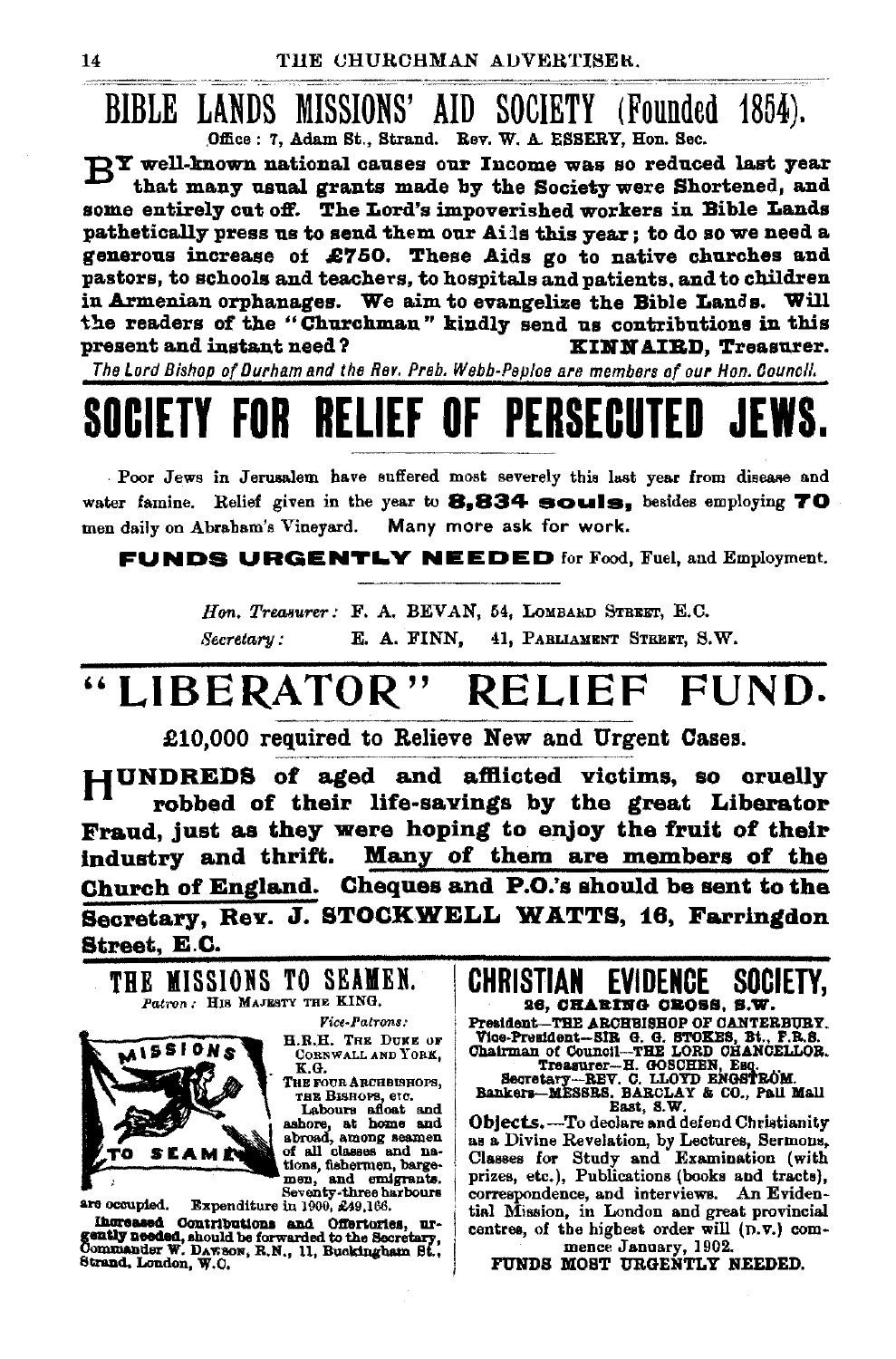**BIBLE LANDS MISSIONS' AID SOCIETY (Founded 1854).** Office: 7, Adam St., Strand. Rev. W. A. ESSERY. Hon. Sec.

**DY** well-known national causes our Income was so reduced last vear that many usual grants made by the Society were Shortened, and some entirely cut off. The Lord's impoverished workers in Bible Lands pathetically press us to send them our Ails this year: to do so we need a generous increase of £750. These Aids go to native churches and pastors, to schools and teachers, to hospitals and patients, and to children in Armenian orphanages. We aim to evangelize the Bible Lands. Will the readers of the "Churchman" kindly send us contributions in this present and instant need? KINNAIRD, Treasurer.

The Lord Bishop of Durham and the Rev. Preb. Webb-Peploe are members of our Hon. Council.

## RELIEF OF PERSERI

Poor Jews in Jerusalem have suffered most severely this last year from disease and water famine. Relief given in the year to 8.834 souls. besides employing 70 men daily on Abraham's Vineyard. Many more ask for work.

**FUNDS URGENTLY NEEDED** for Food, Fuel, and Employment.

Hon. Treasurer: F. A. BEVAN, 54, LOMBARD STREET, E.C. 41, PARLIAMENT STREET, S.W. Secretary: E. A. FINN,

### "LIBERATOR" RELIEF FUND.

£10,000 required to Relieve New and Urgent Cases.

HUNDREDS of aged and afflicted victims, so cruelly robbed of their life-savings by the great Liberator Fraud, just as they were hoping to enjoy the fruit of their industry and thrift. Many of them are members of the Church of England. Cheques and P.O.'s should be sent to the Secretary, Rev. J. STOCKWELL WATTS, 16, Farringdon Street, E.C.



Increased Contributions and Offerturies, urgently needed, should be forwarded to the Secretary, Commander W. Davison, R.N., 11, Buckingham St., Strand, London, W.O.

CHRISTIAN **EVIDENCE** SOCIETY. 26. CHARING CROSS. S.W.

President-THE ARCHBISHOP OF CANTERBURY. Testamour-HE ARACHISTOTY UNIT RESPONSE.<br>
The President-BIR G. G. STOKES, Bt., P.R.S.<br>
Chairman of Council-THE LORD CHANCELLOR.<br>
Traguer--R. GOSCHEN, Esq.<br>
Secretary--REV. C. LLOYD ENGER EQ.<br>
Bankers--MESSRS, BARCLAY & CO.,

East, S.W.

Objects. - To declare and defend Christianity as a Divine Revelation, by Lectures, Sermons, Classes for Study and Examination (with prizes, etc.), Publications (books and tracts), correspondence, and interviews. An Evidential Mission, in London and great provincial centres, of the highest order will (D.V.) com-

mence January, 1902. FUNDS MOST URGENTLY NEEDED.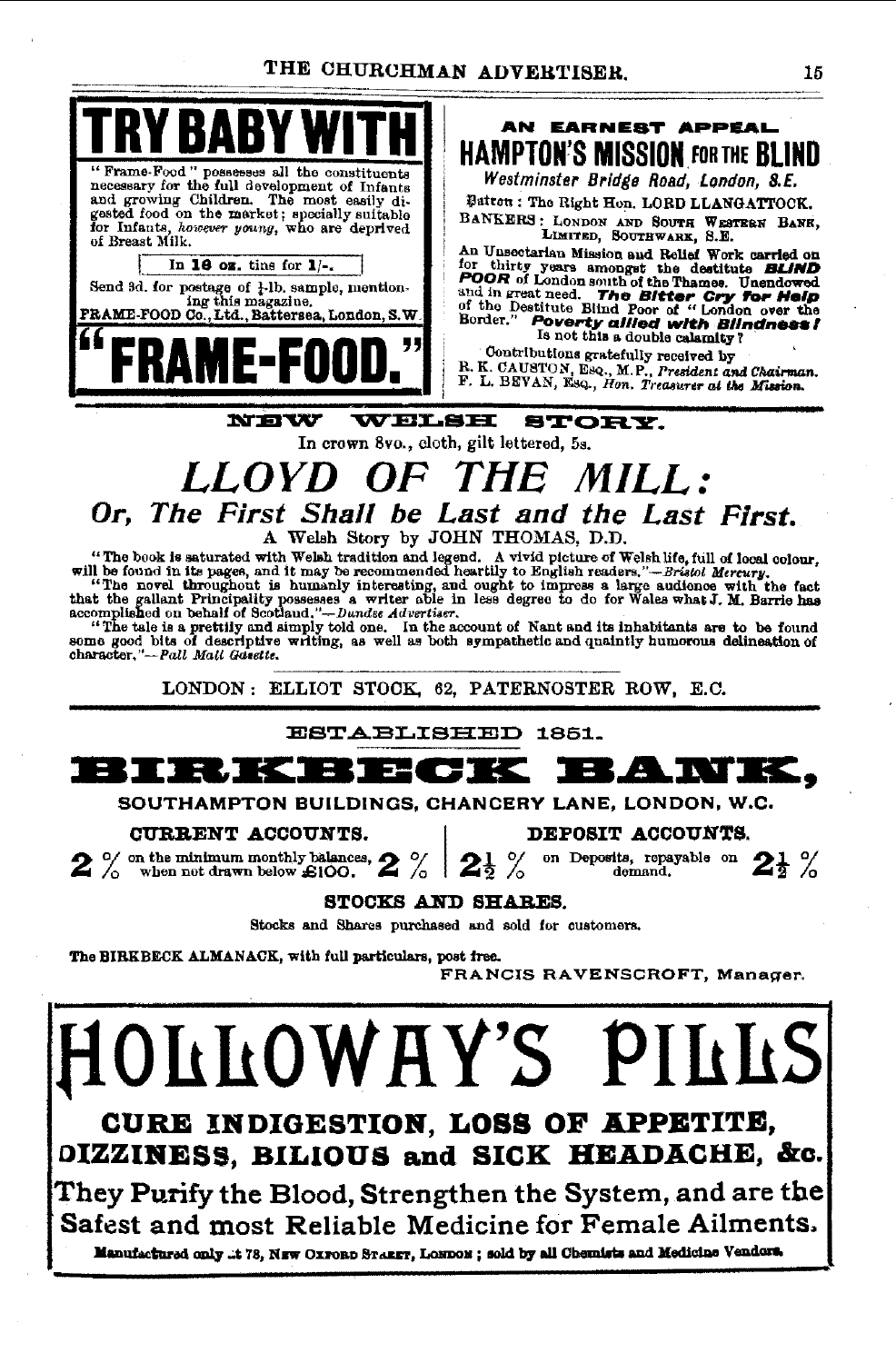

CURE INDIGESTION, LOSS OF APPETITE, OIZZINESS, BILIOUS and SICK HEADACHE, &c.

They Purify the Blood, Strengthen the System, and are the Safest and most Reliable Medicine for Female Ailments.

Manufactured only ..t 78. NEW OXFORD STARET, LONDON; sold by all Chemists and Medicine Vendors.